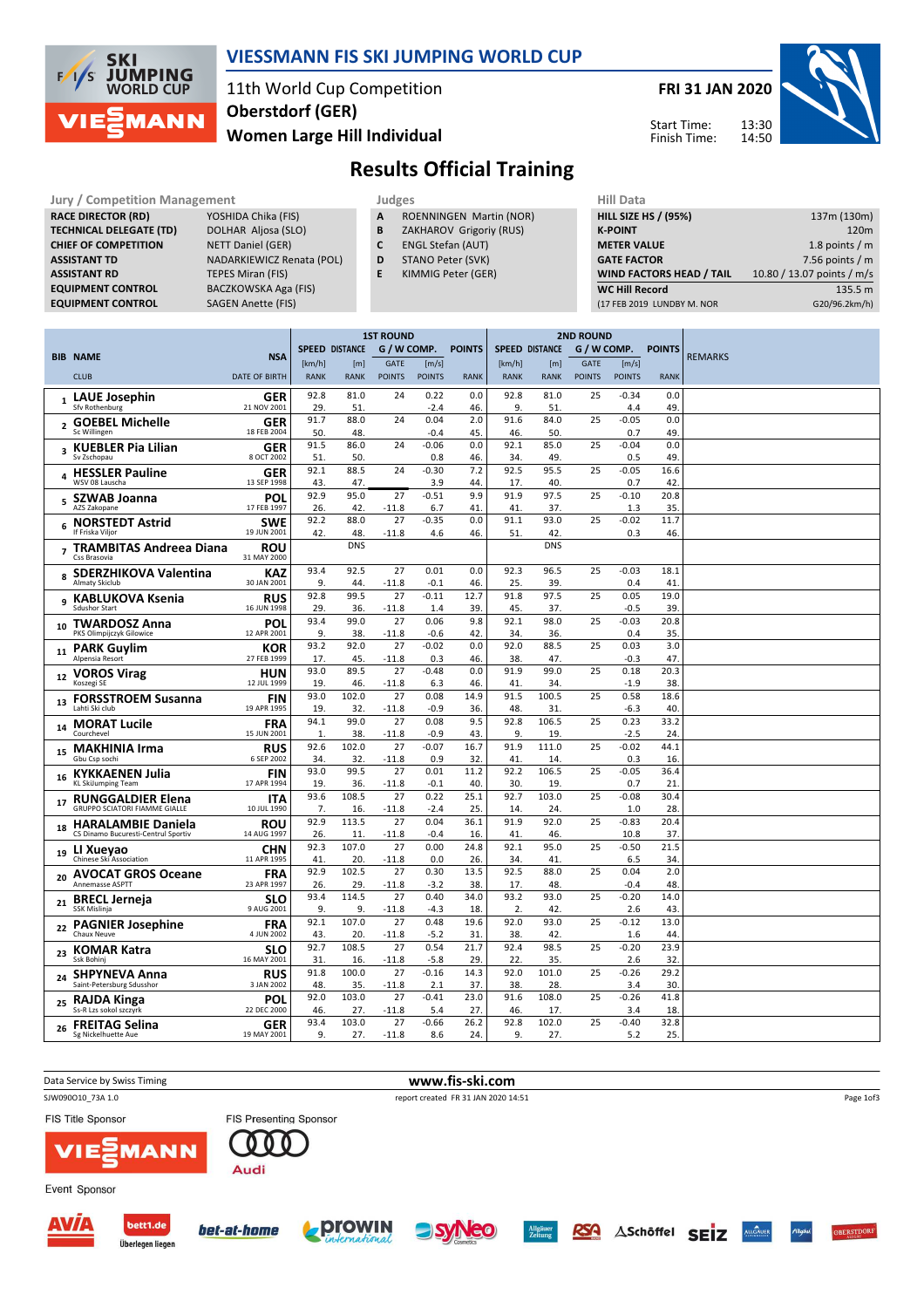

#### VIESSMANN FIS SKI JUMPING WORLD CUP

### 11th World Cup Competition Women Large Hill Individual Oberstdorf (GER)

FRI 31 JAN 2020

Start Time: Finish Time:



# Results Official Training

| <b>Jury / Competition Management</b> |                           |   | Judges                         |  |                    |  |  |  |  |
|--------------------------------------|---------------------------|---|--------------------------------|--|--------------------|--|--|--|--|
| <b>RACE DIRECTOR (RD)</b>            | YOSHIDA Chika (FIS)       | A | <b>ROENNINGEN Martin (NOR)</b> |  | <b>HILL SIZE H</b> |  |  |  |  |
| <b>TECHNICAL DELEGATE (TD)</b>       | DOLHAR Aljosa (SLO)       | B | ZAKHAROV Grigoriy (RUS)        |  | <b>K-POINT</b>     |  |  |  |  |
| <b>CHIEF OF COMPETITION</b>          | NETT Daniel (GER)         |   | <b>ENGL Stefan (AUT)</b>       |  | <b>METER VA</b>    |  |  |  |  |
| <b>ASSISTANT TD</b>                  | NADARKIEWICZ Renata (POL) | D | STANO Peter (SVK)              |  | <b>GATE FACT</b>   |  |  |  |  |
| <b>ASSISTANT RD</b>                  | <b>TEPES Miran (FIS)</b>  |   | KIMMIG Peter (GER)             |  | <b>WIND FAC</b>    |  |  |  |  |
| <b>EQUIPMENT CONTROL</b>             | BACZKOWSKA Aga (FIS)      |   |                                |  | <b>WC Hill Re</b>  |  |  |  |  |
| <b>EQUIDARELY CONTROL</b>            | $C A C F M A \ldots M A$  |   |                                |  | $14 = 0.000$       |  |  |  |  |

YOSHIDA Chika (FIS) DOLHAR Aljosa (SLO) NETT Daniel (GER) **NADARKIEWICZ Renata (POL)** TEPES Miran (FIS) BACZKOWSKA Aga (FIS) EQUIPMENT CONTROL SAGEN Anette (FIS)

- A ROENNINGEN Martin (NOR)
- **B** ZAKHAROV Grigoriy (RUS)<br>**C** ENGL Stefan (AUT)
- ENGL Stefan (AUT)
- D STANO Peter (SVK)
- E KIMMIG Peter (GER)

| <b>HILL SIZE HS / (95%)</b>     | 137m (130m)                |
|---------------------------------|----------------------------|
| <b>K-POINT</b>                  | 120 <sub>m</sub>           |
| <b>METER VALUE</b>              | 1.8 points $/m$            |
| <b>GATE FACTOR</b>              | 7.56 points $/m$           |
| <b>WIND FACTORS HEAD / TAIL</b> | 10.80 / 13.07 points / m/s |
| <b>WC Hill Record</b>           | 135.5 m                    |
| (17 FEB 2019 LUNDBY M. NOR      | G20/96.2km/h)              |
|                                 |                            |

|    |                                                                  |                           | <b>1ST ROUND</b> |                       |               |                | <b>2ND ROUND</b> |                       |              |               |                    |             |                |
|----|------------------------------------------------------------------|---------------------------|------------------|-----------------------|---------------|----------------|------------------|-----------------------|--------------|---------------|--------------------|-------------|----------------|
|    | <b>BIB NAME</b>                                                  | <b>NSA</b>                |                  | <b>SPEED DISTANCE</b> | G / W COMP.   |                | <b>POINTS</b>    | <b>SPEED DISTANCE</b> |              |               | G / W COMP. POINTS |             | <b>REMARKS</b> |
|    |                                                                  |                           | [km/h]           | [m]                   | <b>GATE</b>   | [m/s]          |                  | [km/h]                | [m]          | <b>GATE</b>   | [m/s]              |             |                |
|    | <b>CLUB</b>                                                      | <b>DATE OF BIRTH</b>      | <b>RANK</b>      | <b>RANK</b>           | <b>POINTS</b> | <b>POINTS</b>  | <b>RANK</b>      | <b>RANK</b>           | <b>RANK</b>  | <b>POINTS</b> | <b>POINTS</b>      | <b>RANK</b> |                |
|    | <b>LAUE Josephin</b>                                             | <b>GER</b>                | 92.8             | 81.0                  | 24            | 0.22           | 0.0              | 92.8                  | 81.0         | 25            | $-0.34$            | 0.0         |                |
|    | Sfv Rothenburg                                                   | 21 NOV 2001               | 29.              | 51.                   |               | $-2.4$         | 46.              | 9.                    | 51           |               | 4.4                | 49.         |                |
|    | <b>GOEBEL Michelle</b><br>$\overline{2}$<br>Sc Willingen         | <b>GER</b><br>18 FEB 2004 | 91.7<br>50       | 88.0<br>48.           | 24            | 0.04<br>$-0.4$ | 2.0<br>45.       | 91.6<br>46.           | 84.0<br>50.  | 25            | $-0.05$<br>0.7     | 0.0<br>49.  |                |
|    | <b>KUEBLER Pia Lilian</b><br>$\overline{\mathbf{3}}$             | GER                       | 91.5             | 86.0                  | 24            | $-0.06$        | 0.0              | 92.1                  | 85.0         | 25            | $-0.04$            | 0.0         |                |
|    | Sv Zschopau                                                      | 8 OCT 2002                | 51               | 50.                   |               | 0.8            | 46.              | 34.                   | 49.          |               | 0.5                | 49.         |                |
|    | <b>HESSLER Pauline</b><br>Δ<br>WSV 08 Lauscha                    | <b>GER</b><br>13 SEP 1998 | 92.1<br>43.      | 88.5<br>47.           | 24            | $-0.30$<br>3.9 | 7.2<br>44.       | 92.5<br>17.           | 95.5<br>40.  | 25            | $-0.05$<br>0.7     | 16.6<br>42. |                |
|    | <b>SZWAB Joanna</b><br>5<br>AZS Zakopane                         | POL<br>17 FEB 1997        | 92.9<br>26.      | 95.0<br>42.           | 27<br>$-11.8$ | $-0.51$<br>6.7 | 9.9<br>41        | 91.9<br>41            | 97.5<br>37.  | 25            | $-0.10$<br>1.3     | 20.8<br>35. |                |
|    | <b>NORSTEDT Astrid</b>                                           | <b>SWE</b>                | 92.2             | 88.0                  | 27            | $-0.35$        | 0.0              | 91.1                  | 93.0         | 25            | $-0.02$            | 11.7        |                |
|    | 6<br>If Friska Viljor                                            | 19 JUN 2001               | 42.              | 48.                   | $-11.8$       | 4.6            | 46.              | 51.                   | 42.          |               | 0.3                | 46.         |                |
|    | <b>TRAMBITAS Andreea Diana</b><br>$\overline{ }$<br>Css Brasovia | <b>ROU</b><br>31 MAY 2000 |                  | <b>DNS</b>            |               |                |                  |                       | <b>DNS</b>   |               |                    |             |                |
|    | <b>SDERZHIKOVA Valentina</b><br>8                                | <b>KAZ</b>                | 93.4             | 92.5                  | 27            | 0.01           | 0.0              | 92.3                  | 96.5         | 25            | $-0.03$            | 18.1        |                |
|    | Almaty Skiclub                                                   | 30 JAN 2001               | 9.               | 44.                   | $-11.8$       | $-0.1$         | 46.              | 25.                   | 39           |               | 0.4                | 41          |                |
|    | <b>KABLUKOVA Ksenia</b><br>q<br><b>Sdushor Start</b>             | <b>RUS</b><br>16 JUN 1998 | 92.8<br>29.      | 99.5<br>36.           | 27<br>$-11.8$ | $-0.11$<br>1.4 | 12.7<br>39       | 91.8<br>45.           | 97.5<br>37.  | 25            | 0.05<br>$-0.5$     | 19.0<br>39. |                |
|    |                                                                  |                           | 93.4             | 99.0                  | 27            | 0.06           | 9.8              | 92.1                  | 98.0         | 25            | $-0.03$            | 20.8        |                |
| 10 | <b>TWARDOSZ Anna</b><br>PKS Olimpijczyk Gilowice                 | <b>POL</b><br>12 APR 2001 | 9.               | 38.                   | $-11.8$       | $-0.6$         | 42.              | 34.                   | 36.          |               | 0.4                | 35.         |                |
| 11 | <b>PARK Guylim</b>                                               | KOR                       | 93.2             | 92.0                  | 27            | $-0.02$        | 0.0              | 92.0                  | 88.5         | 25            | 0.03               | 3.0         |                |
|    | Alpensia Resort                                                  | 27 FEB 1999               | 17.              | 45.                   | $-11.8$       | 0.3            | 46.              | 38.                   | 47.          |               | $-0.3$             | 47.         |                |
| 12 | <b>VOROS Virag</b>                                               | <b>HUN</b>                | 93.0             | 89.5                  | 27            | $-0.48$        | 0.0              | 91.9                  | 99.0         | 25            | 0.18               | 20.3        |                |
|    | Koszegi SE                                                       | 12 JUL 1999               | 19.<br>93.0      | 46.<br>102.0          | $-11.8$<br>27 | 6.3<br>0.08    | 46.<br>14.9      | 41<br>91.5            | 34<br>100.5  | 25            | $-1.9$<br>0.58     | 38.<br>18.6 |                |
| 13 | <b>FORSSTROEM Susanna</b><br>Lahti Ski club                      | <b>FIN</b><br>19 APR 1995 | 19               | 32.                   | $-11.8$       | $-0.9$         | 36.              | 48.                   | 31           |               | $-6.3$             | 40.         |                |
| 14 | <b>MORAT Lucile</b>                                              | <b>FRA</b>                | 94.1             | 99.0                  | 27            | 0.08           | 9.5              | 92.8                  | 106.5        | 25            | 0.23               | 33.2        |                |
|    | Courchevel                                                       | 15 JUN 2001               | $\mathbf{1}$     | 38.                   | $-11.8$       | $-0.9$         | 43.              | 9.                    | 19           |               | $-2.5$             | 24.         |                |
| 15 | <b>MAKHINIA Irma</b>                                             | <b>RUS</b>                | 92.6             | 102.0                 | 27            | $-0.07$        | 16.7             | 91.9                  | 111.0        | 25            | $-0.02$            | 44.1        |                |
|    | Gbu Csp sochi                                                    | 6 SEP 2002                | 34<br>93.0       | 32.<br>99.5           | $-11.8$<br>27 | 0.9<br>0.01    | 32.<br>11.2      | 41<br>92.2            | 14.<br>106.5 | 25            | 0.3<br>$-0.05$     | 16.<br>36.4 |                |
| 16 | <b>KYKKAENEN Julia</b><br>KL SkiJumping Team                     | <b>FIN</b><br>17 APR 1994 | 19.              | 36.                   | $-11.8$       | $-0.1$         | 40               | 30                    | 19           |               | 0.7                | 21          |                |
|    | <b>RUNGGALDIER Elena</b>                                         | <b>ITA</b>                | 93.6             | 108.5                 | 27            | 0.22           | 25.1             | 92.7                  | 103.0        | 25            | $-0.08$            | 30.4        |                |
| 17 | <b>GRUPPO SCIATORI FIAMME GIALLE</b>                             | 10 JUL 1990               | 7.               | 16.                   | $-11.8$       | $-2.4$         | 25.              | 14                    | 24           |               | 1.0                | 28.         |                |
| 18 | <b>HARALAMBIE Daniela</b>                                        | <b>ROU</b>                | 92.9             | 113.5                 | 27            | 0.04           | 36.1             | 91.9                  | 92.0         | 25            | $-0.83$            | 20.4        |                |
|    | CS Dinamo Bucuresti-Centrul Sportiv                              | 14 AUG 1997               | 26.<br>92.3      | 11.<br>107.0          | $-11.8$<br>27 | $-0.4$<br>0.00 | 16.<br>24.8      | 41<br>92.1            | 46.<br>95.0  |               | 10.8<br>$-0.50$    | 37.<br>21.5 |                |
| 19 | LI Xueyao<br>Chinese Ski Association                             | <b>CHN</b><br>11 APR 1995 | 41               | 20.                   | $-11.8$       | 0.0            | 26.              | 34.                   | 41.          | 25            | 6.5                | 34.         |                |
| 20 | <b>AVOCAT GROS Oceane</b><br>Annemasse ASPTT                     | <b>FRA</b><br>23 APR 1997 | 92.9<br>26.      | 102.5<br>29.          | 27<br>$-11.8$ | 0.30<br>$-3.2$ | 13.5<br>38.      | 92.5<br>17.           | 88.0<br>48.  | 25            | 0.04<br>$-0.4$     | 2.0<br>48.  |                |
|    |                                                                  | <b>SLO</b>                | 93.4             | 114.5                 | 27            | 0.40           | 34.0             | 93.2                  | 93.0         | 25            | $-0.20$            | 14.0        |                |
| 21 | <b>BRECL Jerneja</b><br><b>SSK Mislinia</b>                      | 9 AUG 2001                | 9.               | 9.                    | $-11.8$       | $-4.3$         | 18.              | 2.                    | 42           |               | 2.6                | 43.         |                |
| 22 | <b>PAGNIER Josephine</b>                                         | <b>FRA</b>                | 92.1             | 107.0                 | 27            | 0.48           | 19.6             | 92.0                  | 93.0         | 25            | $-0.12$            | 13.0        |                |
|    | Chaux Neuve                                                      | 4 JUN 2002                | 43.              | 20.                   | $-11.8$       | -5.2           | 31.              | 38.                   | 42.          |               | 1.6                | 44.         |                |
| 23 | <b>KOMAR Katra</b><br>Ssk Bohini                                 | <b>SLO</b><br>16 MAY 2001 | 92.7<br>31       | 108.5<br>16.          | 27<br>$-11.8$ | 0.54<br>$-5.8$ | 21.7<br>29.      | 92.4<br>22.           | 98.5<br>35   | 25            | $-0.20$<br>2.6     | 23.9<br>32. |                |
| 24 | <b>SHPYNEVA Anna</b>                                             | <b>RUS</b>                | 91.8             | 100.0                 | 27            | $-0.16$        | 14.3             | 92.0                  | 101.0        | 25            | $-0.26$            | 29.2        |                |
|    | Saint-Petersburg Sdusshor                                        | 3 JAN 2002                | 48.              | 35.                   | $-11.8$       | 2.1            | 37.              | 38.                   | 28.          |               | 3.4                | 30.         |                |
| 25 | RAJDA Kinga                                                      | <b>POL</b>                | 92.0             | 103.0                 | 27            | $-0.41$        | 23.0             | 91.6                  | 108.0        | 25            | $-0.26$            | 41.8        |                |
|    | Ss-R Lzs sokol szczyrk                                           | 22 DEC 2000               | 46<br>93.4       | 27.<br>103.0          | $-11.8$<br>27 | 5.4<br>$-0.66$ | 27.<br>26.2      | 46<br>92.8            | 17<br>102.0  | 25            | 3.4<br>$-0.40$     | 18.<br>32.8 |                |
| 26 | <b>FREITAG Selina</b><br>Sg Nickelhuette Aue                     | <b>GER</b><br>19 MAY 2001 | 9.               | 27.                   | $-11.8$       | 8.6            | 24.              | 9.                    | 27.          |               | 5.2                | 25.         |                |
|    |                                                                  |                           |                  |                       |               |                |                  |                       |              |               |                    |             |                |

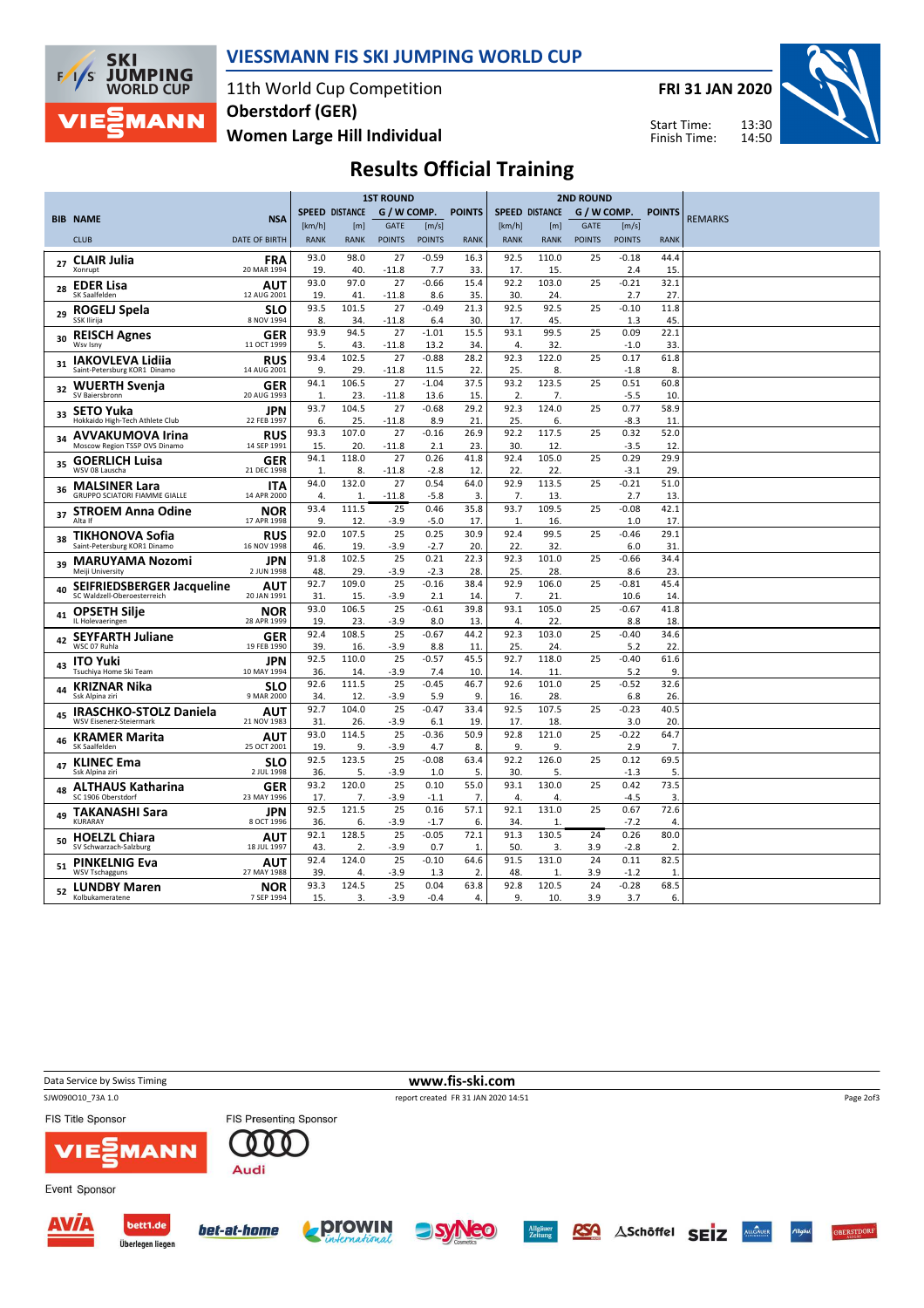

#### VIESSMANN FIS SKI JUMPING WORLD CUP

11th World Cup Competition Women Large Hill Individual Oberstdorf (GER)

FRI 31 JAN 2020

Start Time: Finish Time:



## Results Official Training

|    |                                                          |                           | <b>1ST ROUND</b> |                       |                 |                | <b>2ND ROUND</b> |                       |                  |               |                |               |                |
|----|----------------------------------------------------------|---------------------------|------------------|-----------------------|-----------------|----------------|------------------|-----------------------|------------------|---------------|----------------|---------------|----------------|
|    | <b>BIB NAME</b>                                          | <b>NSA</b>                |                  | <b>SPEED DISTANCE</b> | G / W COMP.     |                | <b>POINTS</b>    | <b>SPEED DISTANCE</b> |                  |               | G / W COMP.    | <b>POINTS</b> | <b>REMARKS</b> |
|    |                                                          |                           | [km/h]           | [m]                   | <b>GATE</b>     | [m/s]          |                  | [km/h]                | [ <sub>m</sub> ] | <b>GATE</b>   | [m/s]          |               |                |
|    | <b>CLUB</b>                                              | <b>DATE OF BIRTH</b>      | <b>RANK</b>      | <b>RANK</b>           | <b>POINTS</b>   | <b>POINTS</b>  | <b>RANK</b>      | <b>RANK</b>           | <b>RANK</b>      | <b>POINTS</b> | <b>POINTS</b>  | <b>RANK</b>   |                |
|    | <b>CLAIR Julia</b>                                       | <b>FRA</b>                | 93.0             | 98.0                  | 27              | $-0.59$        | 16.3             | 92.5                  | 110.0            | 25            | $-0.18$        | 44.4          |                |
| 27 | Xonrupt                                                  | 20 MAR 1994               | 19.              | 40.                   | $-11.8$         | 7.7            | 33               | 17.                   | 15.              |               | 2.4            | 15.           |                |
| 28 | <b>EDER Lisa</b>                                         | AUT                       | 93.0             | 97.0                  | 27              | $-0.66$        | 15.4             | 92.2                  | 103.0            | 25            | $-0.21$        | 32.1          |                |
|    | SK Saalfelden                                            | 12 AUG 2001               | 19.              | 41                    | $-11.8$         | 8.6            | 35.              | 30.                   | 24.              |               | 2.7            | 27.           |                |
| 29 | ROGELJ Spela                                             | <b>SLO</b>                | 93.5             | 101.5                 | 27              | $-0.49$        | 21.3             | 92.5                  | 92.5             | 25            | $-0.10$        | 11.8          |                |
|    | SSK Ilirija                                              | 8 NOV 1994                | 8.<br>93.9       | 34.<br>94.5           | $-11.8$<br>27   | 6.4<br>$-1.01$ | 30.<br>15.5      | 17.<br>93.1           | 45.<br>99.5      | 25            | 1.3<br>0.09    | 45.<br>22.1   |                |
| 30 | <b>REISCH Agnes</b><br>Wsy Isny                          | <b>GER</b><br>11 OCT 1999 | 5.               | 43.                   | $-11.8$         | 13.2           | 34.              | 4.                    | 32.              |               | $-1.0$         | 33            |                |
|    | <b>IAKOVLEVA Lidiia</b>                                  | <b>RUS</b>                | 93.4             | 102.5                 | 27              | $-0.88$        | 28.2             | 92.3                  | 122.0            | 25            | 0.17           | 61.8          |                |
| 31 | Saint-Petersburg KOR1 Dinamo                             | 14 AUG 2001               | 9.               | 29.                   | $-11.8$         | 11.5           | 22.              | 25.                   | 8.               |               | $-1.8$         | 8.            |                |
| 32 | <b>WUERTH Svenia</b>                                     | <b>GER</b>                | 94.1             | 106.5                 | 27              | $-1.04$        | 37.5             | 93.2                  | 123.5            | 25            | 0.51           | 60.8          |                |
|    | SV Bajersbronn                                           | 20 AUG 1993               | $\mathbf{1}$     | 23.                   | $-11.8$         | 13.6           | 15.              | 2.                    | 7.               |               | $-5.5$         | 10            |                |
| 33 | <b>SETO Yuka</b>                                         | <b>JPN</b>                | 93.7             | 104.5                 | 27              | $-0.68$        | 29.2             | 92.3                  | 124.0            | 25            | 0.77           | 58.9          |                |
|    | Hokkaido High-Tech Athlete Club                          | 22 FEB 1997               | 6.               | 25.                   | $-11.8$<br>27   | 8.9            | 21               | 25.<br>92.2           | 6.<br>117.5      |               | $-8.3$<br>0.32 | 11            |                |
| 34 | <b>AVVAKUMOVA Irina</b><br>Moscow Region TSSP OVS Dinamo | <b>RUS</b><br>14 SEP 1991 | 93.3<br>15.      | 107.0<br>20.          | $-11.8$         | $-0.16$<br>2.1 | 26.9<br>23.      | 30.                   | 12.              | 25            | $-3.5$         | 52.0<br>12.   |                |
|    |                                                          |                           | 94.1             | 118.0                 | 27              | 0.26           | 41.8             | 92.4                  | 105.0            | 25            | 0.29           | 29.9          |                |
| 35 | <b>GOERLICH Luisa</b><br>WSV 08 Lauscha                  | <b>GER</b><br>21 DEC 1998 | 1.               | 8.                    | $-11.8$         | $-2.8$         | 12.              | 22.                   | 22.              |               | $-3.1$         | 29            |                |
|    | <b>MALSINER Lara</b>                                     | <b>ITA</b>                | 94.0             | 132.0                 | 27              | 0.54           | 64.0             | 92.9                  | 113.5            | 25            | $-0.21$        | 51.0          |                |
| 36 | <b>GRUPPO SCIATORI FIAMME GIALLE</b>                     | 14 APR 2000               | 4.               | 1                     | $-11.8$         | $-5.8$         | 3.               | 7.                    | 13.              |               | 2.7            | 13            |                |
| 37 | <b>STROEM Anna Odine</b>                                 | <b>NOR</b>                | 93.4             | 111.5                 | 25              | 0.46           | 35.8             | 93.7                  | 109.5            | 25            | $-0.08$        | 42.1          |                |
|    | Alta If                                                  | 17 APR 1998               | 9.               | 12.                   | $-3.9$          | $-5.0$         | 17               | 1.                    | 16.              |               | 1.0            | 17.           |                |
| 38 | TIKHONOVA Sofia                                          | <b>RUS</b>                | 92.0             | 107.5                 | 25              | 0.25           | 30.9             | 92.4                  | 99.5             | 25            | $-0.46$        | 29.1          |                |
|    | Saint-Petersburg KOR1 Dinamo                             | 16 NOV 1998               | 46.<br>91.8      | 19.<br>102.5          | $-3.9$<br>25    | $-2.7$<br>0.21 | 20<br>22.3       | 22.<br>92.3           | 32.<br>101.0     | 25            | 6.0<br>$-0.66$ | 31<br>34.4    |                |
| 39 | <b>MARUYAMA Nozomi</b><br>Meiji University               | <b>JPN</b><br>2 JUN 1998  | 48.              | 29.                   | $-3.9$          | $-2.3$         | 28.              | 25.                   | 28.              |               | 8.6            | 23.           |                |
|    | <b>SEIFRIEDSBERGER Jacqueline</b>                        | AUT                       | 92.7             | 109.0                 | 25              | $-0.16$        | 38.4             | 92.9                  | 106.0            | 25            | $-0.81$        | 45.4          |                |
| 40 | SC Waldzell-Oberoesterreich                              | 20 JAN 1991               | 31               | 15.                   | $-3.9$          | 2.1            | 14               | 7.                    | 21               |               | 10.6           | 14            |                |
| 41 | <b>OPSETH Silje</b>                                      | <b>NOR</b>                | 93.0             | 106.5                 | 25              | $-0.61$        | 39.8             | 93.1                  | 105.0            | 25            | $-0.67$        | 41.8          |                |
|    | IL Holevaeringen                                         | 28 APR 1999               | 19.              | 23.                   | -3.9            | 8.0            | 13               | 4.                    | 22.              |               | 8.8            | 18.           |                |
| 42 | <b>SEYFARTH Juliane</b>                                  | GER                       | 92.4             | 108.5                 | 25              | $-0.67$        | 44.2             | 92.3                  | 103.0            | 25            | $-0.40$        | 34.6          |                |
|    | WSC 07 Ruhla                                             | 19 FEB 1990               | 39.<br>92.5      | 16.<br>110.0          | $-3.9$<br>25    | 8.8<br>$-0.57$ | 11<br>45.5       | 25.<br>92.7           | 24.<br>118.0     | 25            | 5.2<br>$-0.40$ | 22.<br>61.6   |                |
| 43 | <b>ITO Yuki</b><br>Tsuchiya Home Ski Team                | JPN<br>10 MAY 1994        | 36.              | 14                    | $-3.9$          | 7.4            | 10.              | 14.                   | 11               |               | 5.2            | 9.            |                |
|    | <b>KRIZNAR Nika</b>                                      | <b>SLO</b>                | 92.6             | 111.5                 | 25              | $-0.45$        | 46.7             | 92.6                  | 101.0            | 25            | $-0.52$        | 32.6          |                |
| 44 | Ssk Alpina ziri                                          | 9 MAR 2000                | 34.              | 12.                   | $-3.9$          | 5.9            | 9.               | 16.                   | 28.              |               | 6.8            | 26.           |                |
| 45 | <b>IRASCHKO-STOLZ Daniela</b>                            | AUT                       | 92.7             | 104.0                 | 25              | $-0.47$        | 33.4             | 92.5                  | 107.5            | 25            | $-0.23$        | 40.5          |                |
|    | WSV Eisenerz-Steiermark                                  | 21 NOV 1983               | 31.              | 26.                   | -3.9            | 6.1            | 19               | 17.                   | 18.              |               | 3.0            | 20.           |                |
| 46 | <b>KRAMER Marita</b>                                     | AUT                       | 93.0             | 114.5                 | $\overline{25}$ | $-0.36$        | 50.9             | 92.8                  | 121.0            | 25            | $-0.22$        | 64.7          |                |
|    | SK Saalfelden                                            | 25 OCT 2001               | 19.<br>92.5      | 9.<br>123.5           | $-3.9$<br>25    | 4.7<br>$-0.08$ | 8.<br>63.4       | 9.<br>92.2            | 9.<br>126.0      | 25            | 2.9<br>0.12    | 7.<br>69.5    |                |
| 47 | <b>KLINEC Ema</b><br>Ssk Alpina ziri                     | <b>SLO</b><br>2 JUL 1998  | 36.              | 5.                    | $-3.9$          | 1.0            | 5.               | 30.                   | 5.               |               | $-1.3$         | 5             |                |
|    | <b>ALTHAUS Katharina</b>                                 | <b>GER</b>                | 93.2             | 120.0                 | 25              | 0.10           | 55.0             | 93.1                  | 130.0            | 25            | 0.42           | 73.5          |                |
| 48 | SC 1906 Oberstdorf                                       | 23 MAY 1996               | 17.              | 7.                    | $-3.9$          | $-1.1$         | 7.               | 4.                    | 4.               |               | $-4.5$         | 3.            |                |
| 49 | <b>TAKANASHI Sara</b>                                    | <b>JPN</b>                | 92.5             | 121.5                 | 25              | 0.16           | 57.1             | 92.1                  | 131.0            | 25            | 0.67           | 72.6          |                |
|    | <b>KURARAY</b>                                           | 8 OCT 1996                | 36.              | 6.                    | $-3.9$          | $-1.7$         | 6.               | 34.                   | 1                |               | $-7.2$         | 4.            |                |
| 50 | <b>HOELZL Chiara</b>                                     | AUT                       | 92.1             | 128.5                 | 25              | $-0.05$        | 72.1             | 91.3                  | 130.5            | 24            | 0.26           | 80.0          |                |
|    | SV Schwarzach-Salzburg                                   | 18 JUL 1997               | 43.              | 2.                    | -3.9            | 0.7            | 1.               | 50.                   | 3.               | 3.9           | $-2.8$         | 2.            |                |
| 51 | <b>PINKELNIG Eva</b><br><b>WSV Tschagguns</b>            | <b>AUT</b><br>27 MAY 1988 | 92.4<br>39.      | 124.0<br>4.           | 25<br>$-3.9$    | $-0.10$<br>1.3 | 64.6<br>2.       | 91.5<br>48.           | 131.0<br>1       | 24<br>3.9     | 0.11<br>$-1.2$ | 82.5<br>1     |                |
|    | <sub>52</sub> LUNDBY Maren                               | NOR                       | 93.3             | 124.5                 | 25              | 0.04           | 63.8             | 92.8                  | 120.5            | 24            | $-0.28$        | 68.5          |                |
|    | Kolbukameratene                                          | 7 SEP 1994                | 15.              | 3.                    | $-3.9$          | $-0.4$         | $\overline{4}$ . | 9.                    | 10.              | 3.9           | 3.7            | 6.            |                |